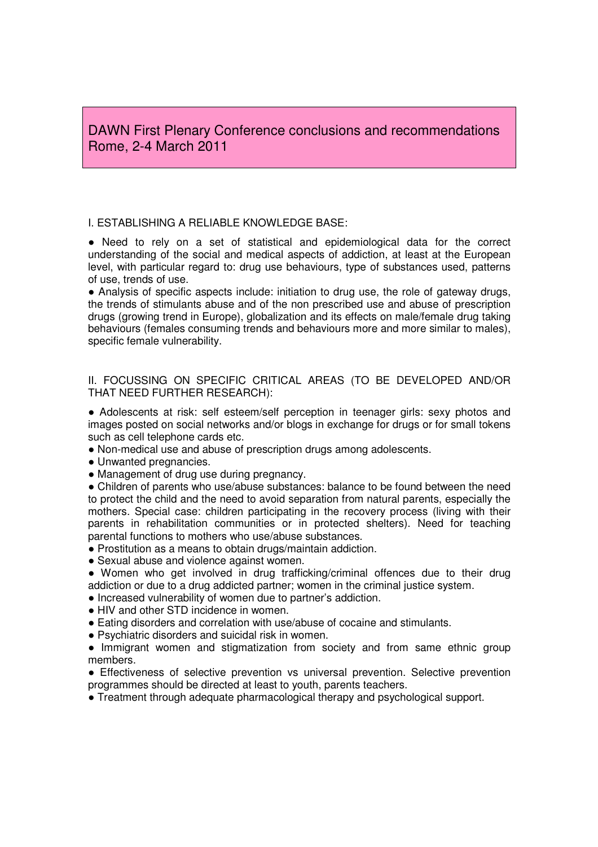DAWN First Plenary Conference conclusions and recommendations Rome, 2-4 March 2011

## I. ESTABLISHING A RELIABLE KNOWLEDGE BASE:

● Need to rely on a set of statistical and epidemiological data for the correct understanding of the social and medical aspects of addiction, at least at the European level, with particular regard to: drug use behaviours, type of substances used, patterns of use, trends of use.

● Analysis of specific aspects include: initiation to drug use, the role of gateway drugs, the trends of stimulants abuse and of the non prescribed use and abuse of prescription drugs (growing trend in Europe), globalization and its effects on male/female drug taking behaviours (females consuming trends and behaviours more and more similar to males), specific female vulnerability.

II. FOCUSSING ON SPECIFIC CRITICAL AREAS (TO BE DEVELOPED AND/OR THAT NEED FURTHER RESEARCH):

● Adolescents at risk: self esteem/self perception in teenager girls: sexy photos and images posted on social networks and/or blogs in exchange for drugs or for small tokens such as cell telephone cards etc.

- Non-medical use and abuse of prescription drugs among adolescents.
- Unwanted pregnancies.
- Management of drug use during pregnancy.

• Children of parents who use/abuse substances: balance to be found between the need to protect the child and the need to avoid separation from natural parents, especially the mothers. Special case: children participating in the recovery process (living with their parents in rehabilitation communities or in protected shelters). Need for teaching parental functions to mothers who use/abuse substances.

- Prostitution as a means to obtain drugs/maintain addiction.
- Sexual abuse and violence against women.

● Women who get involved in drug trafficking/criminal offences due to their drug addiction or due to a drug addicted partner; women in the criminal justice system.

- Increased vulnerability of women due to partner's addiction.
- HIV and other STD incidence in women.
- Eating disorders and correlation with use/abuse of cocaine and stimulants.
- Psychiatric disorders and suicidal risk in women.

• Immigrant women and stigmatization from society and from same ethnic group members.

● Effectiveness of selective prevention vs universal prevention. Selective prevention programmes should be directed at least to youth, parents teachers.

● Treatment through adequate pharmacological therapy and psychological support.